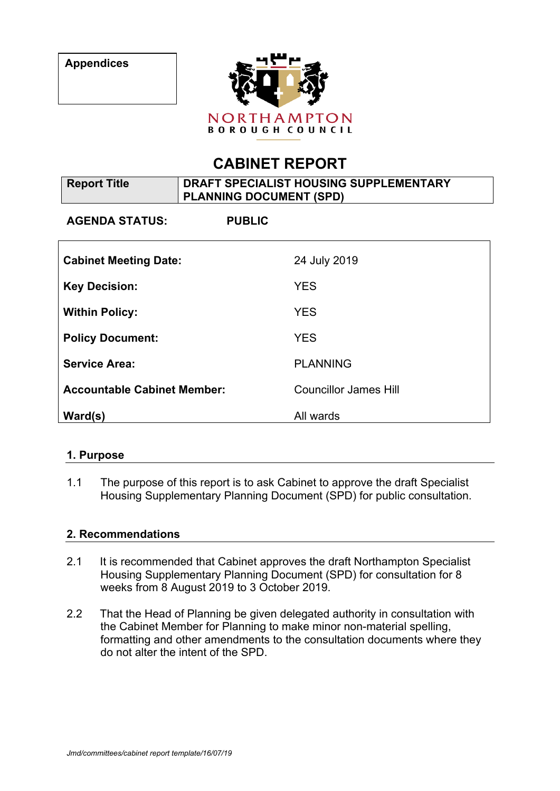

# **CABINET REPORT**

| <b>Report Title</b>                | DRAFT SPECIALIST HOUSING SUPPLEMENTARY<br><b>PLANNING DOCUMENT (SPD)</b> |                              |
|------------------------------------|--------------------------------------------------------------------------|------------------------------|
| <b>AGENDA STATUS:</b>              | <b>PUBLIC</b>                                                            |                              |
| <b>Cabinet Meeting Date:</b>       |                                                                          | 24 July 2019                 |
| <b>Key Decision:</b>               |                                                                          | <b>YES</b>                   |
| <b>Within Policy:</b>              |                                                                          | <b>YES</b>                   |
| <b>Policy Document:</b>            |                                                                          | <b>YES</b>                   |
| <b>Service Area:</b>               |                                                                          | <b>PLANNING</b>              |
| <b>Accountable Cabinet Member:</b> |                                                                          | <b>Councillor James Hill</b> |
| Ward(s)                            |                                                                          | All wards                    |

## **1. Purpose**

1.1 The purpose of this report is to ask Cabinet to approve the draft Specialist Housing Supplementary Planning Document (SPD) for public consultation.

#### **2. Recommendations**

- 2.1 It is recommended that Cabinet approves the draft Northampton Specialist Housing Supplementary Planning Document (SPD) for consultation for 8 weeks from 8 August 2019 to 3 October 2019.
- 2.2 That the Head of Planning be given delegated authority in consultation with the Cabinet Member for Planning to make minor non-material spelling, formatting and other amendments to the consultation documents where they do not alter the intent of the SPD.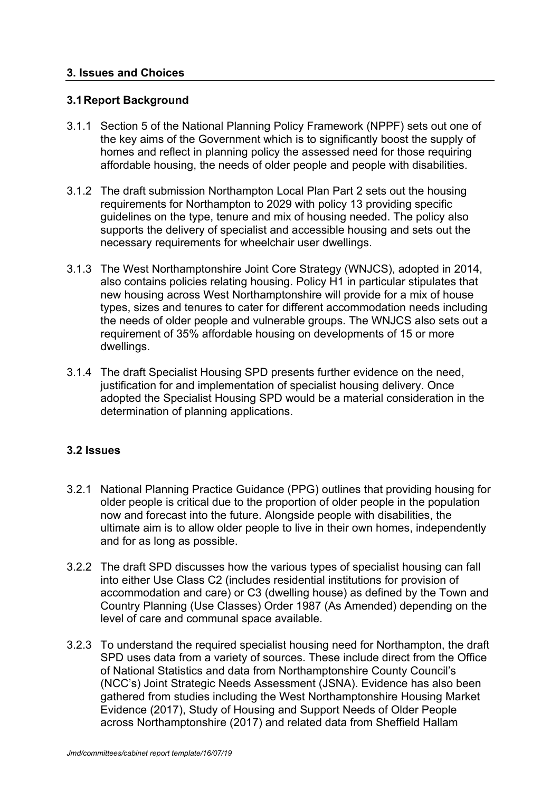#### **3. Issues and Choices**

#### **3.1Report Background**

- 3.1.1 Section 5 of the National Planning Policy Framework (NPPF) sets out one of the key aims of the Government which is to significantly boost the supply of homes and reflect in planning policy the assessed need for those requiring affordable housing, the needs of older people and people with disabilities.
- 3.1.2 The draft submission Northampton Local Plan Part 2 sets out the housing requirements for Northampton to 2029 with policy 13 providing specific guidelines on the type, tenure and mix of housing needed. The policy also supports the delivery of specialist and accessible housing and sets out the necessary requirements for wheelchair user dwellings.
- 3.1.3 The West Northamptonshire Joint Core Strategy (WNJCS), adopted in 2014, also contains policies relating housing. Policy H1 in particular stipulates that new housing across West Northamptonshire will provide for a mix of house types, sizes and tenures to cater for different accommodation needs including the needs of older people and vulnerable groups. The WNJCS also sets out a requirement of 35% affordable housing on developments of 15 or more dwellings.
- 3.1.4 The draft Specialist Housing SPD presents further evidence on the need, justification for and implementation of specialist housing delivery. Once adopted the Specialist Housing SPD would be a material consideration in the determination of planning applications.

## **3.2 Issues**

- 3.2.1 National Planning Practice Guidance (PPG) outlines that providing housing for older people is critical due to the proportion of older people in the population now and forecast into the future. Alongside people with disabilities, the ultimate aim is to allow older people to live in their own homes, independently and for as long as possible.
- 3.2.2 The draft SPD discusses how the various types of specialist housing can fall into either Use Class C2 (includes residential institutions for provision of accommodation and care) or C3 (dwelling house) as defined by the Town and Country Planning (Use Classes) Order 1987 (As Amended) depending on the level of care and communal space available.
- 3.2.3 To understand the required specialist housing need for Northampton, the draft SPD uses data from a variety of sources. These include direct from the Office of National Statistics and data from Northamptonshire County Council's (NCC's) Joint Strategic Needs Assessment (JSNA). Evidence has also been gathered from studies including the West Northamptonshire Housing Market Evidence (2017), Study of Housing and Support Needs of Older People across Northamptonshire (2017) and related data from Sheffield Hallam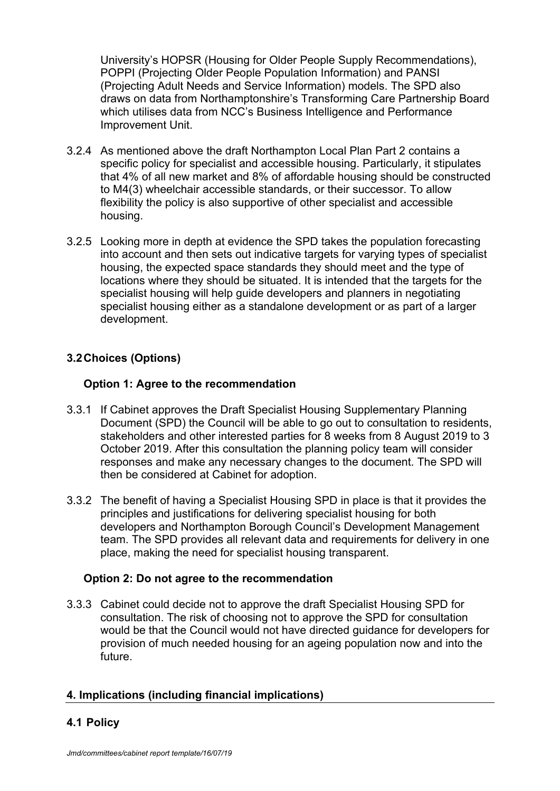University's HOPSR (Housing for Older People Supply Recommendations), POPPI (Projecting Older People Population Information) and PANSI (Projecting Adult Needs and Service Information) models. The SPD also draws on data from Northamptonshire's Transforming Care Partnership Board which utilises data from NCC's Business Intelligence and Performance Improvement Unit.

- 3.2.4 As mentioned above the draft Northampton Local Plan Part 2 contains a specific policy for specialist and accessible housing. Particularly, it stipulates that 4% of all new market and 8% of affordable housing should be constructed to M4(3) wheelchair accessible standards, or their successor. To allow flexibility the policy is also supportive of other specialist and accessible housing.
- 3.2.5 Looking more in depth at evidence the SPD takes the population forecasting into account and then sets out indicative targets for varying types of specialist housing, the expected space standards they should meet and the type of locations where they should be situated. It is intended that the targets for the specialist housing will help guide developers and planners in negotiating specialist housing either as a standalone development or as part of a larger development.

## **3.2Choices (Options)**

## **Option 1: Agree to the recommendation**

- 3.3.1 If Cabinet approves the Draft Specialist Housing Supplementary Planning Document (SPD) the Council will be able to go out to consultation to residents, stakeholders and other interested parties for 8 weeks from 8 August 2019 to 3 October 2019. After this consultation the planning policy team will consider responses and make any necessary changes to the document. The SPD will then be considered at Cabinet for adoption.
- 3.3.2 The benefit of having a Specialist Housing SPD in place is that it provides the principles and justifications for delivering specialist housing for both developers and Northampton Borough Council's Development Management team. The SPD provides all relevant data and requirements for delivery in one place, making the need for specialist housing transparent.

#### **Option 2: Do not agree to the recommendation**

3.3.3 Cabinet could decide not to approve the draft Specialist Housing SPD for consultation. The risk of choosing not to approve the SPD for consultation would be that the Council would not have directed guidance for developers for provision of much needed housing for an ageing population now and into the future.

## **4. Implications (including financial implications)**

## **4.1 Policy**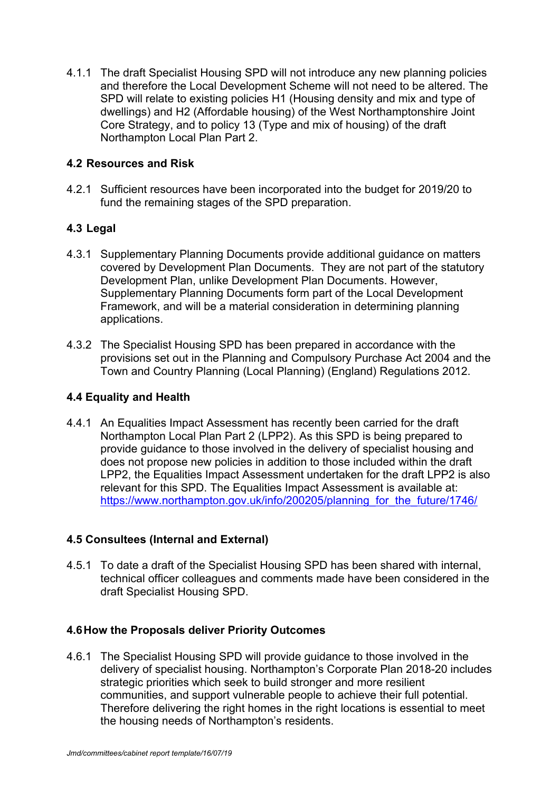4.1.1 The draft Specialist Housing SPD will not introduce any new planning policies and therefore the Local Development Scheme will not need to be altered. The SPD will relate to existing policies H1 (Housing density and mix and type of dwellings) and H2 (Affordable housing) of the West Northamptonshire Joint Core Strategy, and to policy 13 (Type and mix of housing) of the draft Northampton Local Plan Part 2.

## **4.2 Resources and Risk**

4.2.1 Sufficient resources have been incorporated into the budget for 2019/20 to fund the remaining stages of the SPD preparation.

#### **4.3 Legal**

- 4.3.1 Supplementary Planning Documents provide additional guidance on matters covered by Development Plan Documents. They are not part of the statutory Development Plan, unlike Development Plan Documents. However, Supplementary Planning Documents form part of the Local Development Framework, and will be a material consideration in determining planning applications.
- 4.3.2 The Specialist Housing SPD has been prepared in accordance with the provisions set out in the Planning and Compulsory Purchase Act 2004 and the Town and Country Planning (Local Planning) (England) Regulations 2012.

#### **4.4 Equality and Health**

4.4.1 An Equalities Impact Assessment has recently been carried for the draft Northampton Local Plan Part 2 (LPP2). As this SPD is being prepared to provide guidance to those involved in the delivery of specialist housing and does not propose new policies in addition to those included within the draft LPP2, the Equalities Impact Assessment undertaken for the draft LPP2 is also relevant for this SPD. The Equalities Impact Assessment is available at: https://www.northampton.gov.uk/info/200205/planning\_for\_the\_future/1746/

## **4.5 Consultees (Internal and External)**

4.5.1 To date a draft of the Specialist Housing SPD has been shared with internal, technical officer colleagues and comments made have been considered in the draft Specialist Housing SPD.

#### **4.6How the Proposals deliver Priority Outcomes**

4.6.1 The Specialist Housing SPD will provide guidance to those involved in the delivery of specialist housing. Northampton's Corporate Plan 2018-20 includes strategic priorities which seek to build stronger and more resilient communities, and support vulnerable people to achieve their full potential. Therefore delivering the right homes in the right locations is essential to meet the housing needs of Northampton's residents.